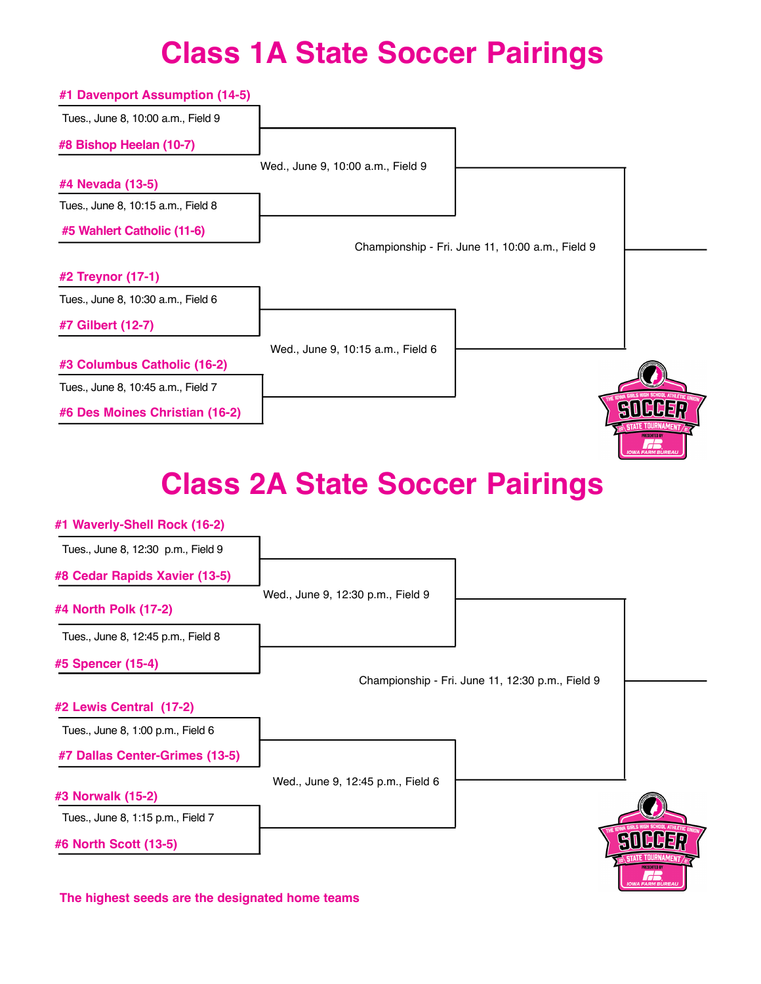## **Class 1A State Soccer Pairings**

| #1 Davenport Assumption (14-5)     |                                   |                                                  |  |
|------------------------------------|-----------------------------------|--------------------------------------------------|--|
| Tues., June 8, 10:00 a.m., Field 9 |                                   |                                                  |  |
| #8 Bishop Heelan (10-7)            |                                   |                                                  |  |
|                                    | Wed., June 9, 10:00 a.m., Field 9 |                                                  |  |
| #4 Nevada (13-5)                   |                                   |                                                  |  |
| Tues., June 8, 10:15 a.m., Field 8 |                                   |                                                  |  |
| #5 Wahlert Catholic (11-6)         |                                   |                                                  |  |
|                                    |                                   | Championship - Fri. June 11, 10:00 a.m., Field 9 |  |
| #2 Treynor (17-1)                  |                                   |                                                  |  |
| Tues., June 8, 10:30 a.m., Field 6 |                                   |                                                  |  |
| #7 Gilbert (12-7)                  |                                   |                                                  |  |
|                                    | Wed., June 9, 10:15 a.m., Field 6 |                                                  |  |
| #3 Columbus Catholic (16-2)        |                                   |                                                  |  |
| Tues., June 8, 10:45 a.m., Field 7 |                                   |                                                  |  |
| #6 Des Moines Christian (16-2)     |                                   |                                                  |  |

## **Class 2A State Soccer Pairings**

 $\overline{\mathbf{r}}$ 

| #1 Waverly-Shell Rock (16-2)       |                                   |                                                  |                         |
|------------------------------------|-----------------------------------|--------------------------------------------------|-------------------------|
| Tues., June 8, 12:30 p.m., Field 9 |                                   |                                                  |                         |
| #8 Cedar Rapids Xavier (13-5)      |                                   |                                                  |                         |
| #4 North Polk (17-2)               | Wed., June 9, 12:30 p.m., Field 9 |                                                  |                         |
| Tues., June 8, 12:45 p.m., Field 8 |                                   |                                                  |                         |
| #5 Spencer (15-4)                  |                                   |                                                  |                         |
|                                    |                                   | Championship - Fri. June 11, 12:30 p.m., Field 9 |                         |
| #2 Lewis Central (17-2)            |                                   |                                                  |                         |
| Tues., June 8, 1:00 p.m., Field 6  |                                   |                                                  |                         |
| #7 Dallas Center-Grimes (13-5)     |                                   |                                                  |                         |
|                                    | Wed., June 9, 12:45 p.m., Field 6 |                                                  |                         |
| #3 Norwalk (15-2)                  |                                   |                                                  |                         |
| Tues., June 8, 1:15 p.m., Field 7  |                                   |                                                  |                         |
| #6 North Scott (13-5)              |                                   |                                                  |                         |
|                                    |                                   |                                                  | <b>IOWA FARM BUREAU</b> |

**The highest seeds are the designated home teams**